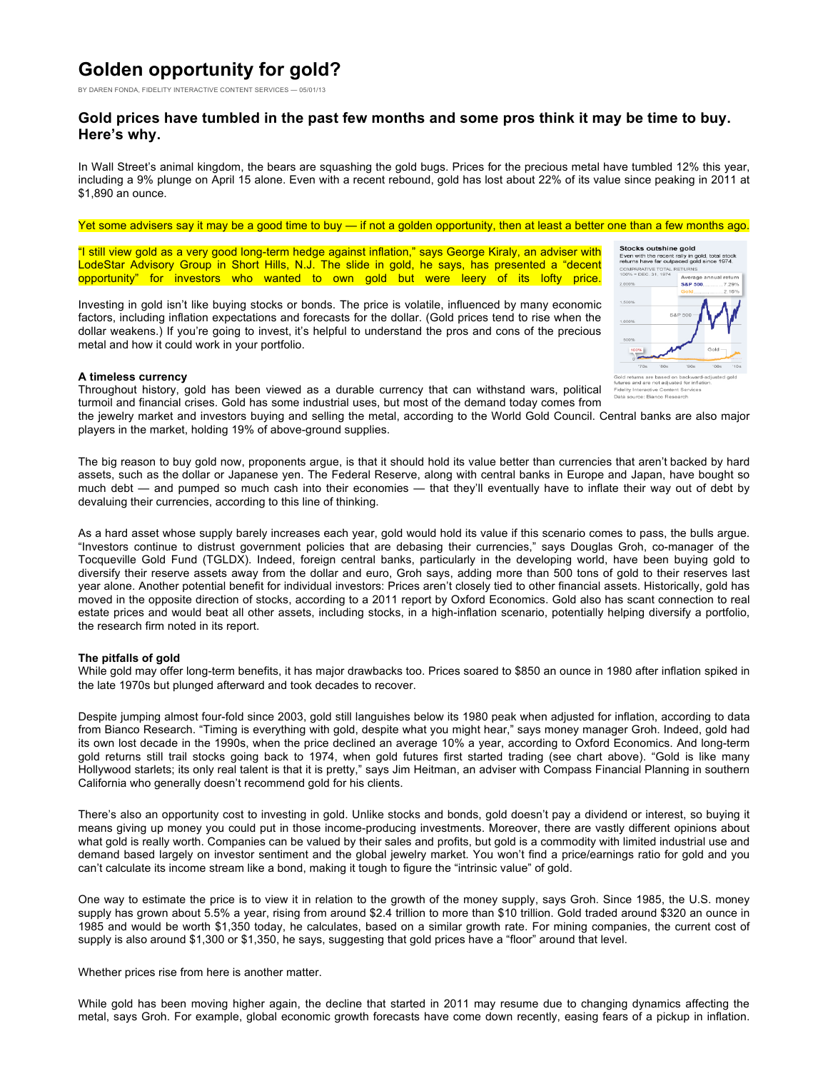# **Golden opportunity for gold?**

BY DAREN FONDA, FIDELITY INTERACTIVE CONTENT SERVICES — 05/01/13

# **Gold prices have tumbled in the past few months and some pros think it may be time to buy. Here's why.**

In Wall Street's animal kingdom, the bears are squashing the gold bugs. Prices for the precious metal have tumbled 12% this year, including a 9% plunge on April 15 alone. Even with a recent rebound, gold has lost about 22% of its value since peaking in 2011 at \$1,890 an ounce.

#### Yet some advisers say it may be a good time to buy — if not a golden opportunity, then at least a better one than a few months ago.

"I still view gold as a very good long-term hedge against inflation," says George Kiraly, an adviser with LodeStar Advisory Group in Short Hills, N.J. The slide in gold, he says, has presented a "decent opportunity" for investors who wanted to own gold but were leery of its lofty price.

Investing in gold isn't like buying stocks or bonds. The price is volatile, influenced by many economic factors, including inflation expectations and forecasts for the dollar. (Gold prices tend to rise when the dollar weakens.) If you're going to invest, it's helpful to understand the pros and cons of the precious metal and how it could work in your portfolio.



## **A timeless currency**

Throughout history, gold has been viewed as a durable currency that can withstand wars, political turmoil and financial crises. Gold has some industrial uses, but most of the demand today comes from

the jewelry market and investors buying and selling the metal, according to the World Gold Council. Central banks are also major players in the market, holding 19% of above-ground supplies.

The big reason to buy gold now, proponents argue, is that it should hold its value better than currencies that aren't backed by hard assets, such as the dollar or Japanese yen. The Federal Reserve, along with central banks in Europe and Japan, have bought so much debt — and pumped so much cash into their economies — that they'll eventually have to inflate their way out of debt by devaluing their currencies, according to this line of thinking.

As a hard asset whose supply barely increases each year, gold would hold its value if this scenario comes to pass, the bulls argue. "Investors continue to distrust government policies that are debasing their currencies," says Douglas Groh, co-manager of the Tocqueville Gold Fund (TGLDX). Indeed, foreign central banks, particularly in the developing world, have been buying gold to diversify their reserve assets away from the dollar and euro, Groh says, adding more than 500 tons of gold to their reserves last year alone. Another potential benefit for individual investors: Prices aren't closely tied to other financial assets. Historically, gold has moved in the opposite direction of stocks, according to a 2011 report by Oxford Economics. Gold also has scant connection to real estate prices and would beat all other assets, including stocks, in a high-inflation scenario, potentially helping diversify a portfolio, the research firm noted in its report.

### **The pitfalls of gold**

While gold may offer long-term benefits, it has major drawbacks too. Prices soared to \$850 an ounce in 1980 after inflation spiked in the late 1970s but plunged afterward and took decades to recover.

Despite jumping almost four-fold since 2003, gold still languishes below its 1980 peak when adjusted for inflation, according to data from Bianco Research. "Timing is everything with gold, despite what you might hear," says money manager Groh. Indeed, gold had its own lost decade in the 1990s, when the price declined an average 10% a year, according to Oxford Economics. And long-term gold returns still trail stocks going back to 1974, when gold futures first started trading (see chart above). "Gold is like many Hollywood starlets; its only real talent is that it is pretty," says Jim Heitman, an adviser with Compass Financial Planning in southern California who generally doesn't recommend gold for his clients.

There's also an opportunity cost to investing in gold. Unlike stocks and bonds, gold doesn't pay a dividend or interest, so buying it means giving up money you could put in those income-producing investments. Moreover, there are vastly different opinions about what gold is really worth. Companies can be valued by their sales and profits, but gold is a commodity with limited industrial use and demand based largely on investor sentiment and the global jewelry market. You won't find a price/earnings ratio for gold and you can't calculate its income stream like a bond, making it tough to figure the "intrinsic value" of gold.

One way to estimate the price is to view it in relation to the growth of the money supply, says Groh. Since 1985, the U.S. money supply has grown about 5.5% a year, rising from around \$2.4 trillion to more than \$10 trillion. Gold traded around \$320 an ounce in 1985 and would be worth \$1,350 today, he calculates, based on a similar growth rate. For mining companies, the current cost of supply is also around \$1,300 or \$1,350, he says, suggesting that gold prices have a "floor" around that level.

Whether prices rise from here is another matter.

While gold has been moving higher again, the decline that started in 2011 may resume due to changing dynamics affecting the metal, says Groh. For example, global economic growth forecasts have come down recently, easing fears of a pickup in inflation.